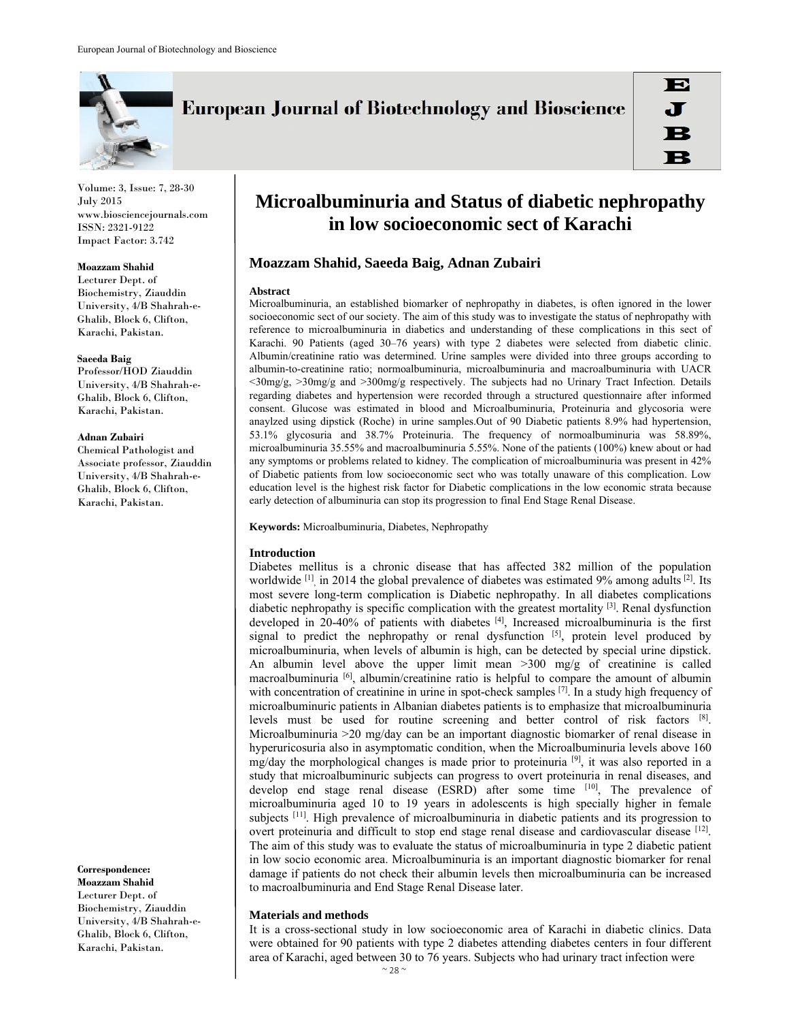

**European Journal of Biotechnology and Bioscience** 

Volume: 3, Issue: 7, 28-30 July 2015 www.biosciencejournals.com ISSN: 2321-9122 Impact Factor: 3.742

#### **Moazzam Shahid**

Lecturer Dept. of Biochemistry, Ziauddin University, 4/B Shahrah-e-Ghalib, Block 6, Clifton, Karachi, Pakistan.

#### **Saeeda Baig**

Professor/HOD Ziauddin University, 4/B Shahrah-e-Ghalib, Block 6, Clifton, Karachi, Pakistan.

## **Adnan Zubairi**

Chemical Pathologist and Associate professor, Ziauddin University, 4/B Shahrah-e-Ghalib, Block 6, Clifton, Karachi, Pakistan.

**Correspondence:** 

**Moazzam Shahid**  Lecturer Dept. of Biochemistry, Ziauddin University, 4/B Shahrah-e-Ghalib, Block 6, Clifton, Karachi, Pakistan.

# **Microalbuminuria and Status of diabetic nephropathy in low socioeconomic sect of Karachi**

# **Moazzam Shahid, Saeeda Baig, Adnan Zubairi**

## **Abstract**

Microalbuminuria, an established biomarker of nephropathy in diabetes, is often ignored in the lower socioeconomic sect of our society. The aim of this study was to investigate the status of nephropathy with reference to microalbuminuria in diabetics and understanding of these complications in this sect of Karachi. 90 Patients (aged 30–76 years) with type 2 diabetes were selected from diabetic clinic. Albumin/creatinine ratio was determined. Urine samples were divided into three groups according to albumin-to-creatinine ratio; normoalbuminuria, microalbuminuria and macroalbuminuria with UACR <30mg/g, >30mg/g and >300mg/g respectively. The subjects had no Urinary Tract Infection. Details regarding diabetes and hypertension were recorded through a structured questionnaire after informed consent. Glucose was estimated in blood and Microalbuminuria, Proteinuria and glycosoria were anaylzed using dipstick (Roche) in urine samples.Out of 90 Diabetic patients 8.9% had hypertension, 53.1% glycosuria and 38.7% Proteinuria. The frequency of normoalbuminuria was 58.89%, microalbuminuria 35.55% and macroalbuminuria 5.55%. None of the patients (100%) knew about or had any symptoms or problems related to kidney. The complication of microalbuminuria was present in 42% of Diabetic patients from low socioeconomic sect who was totally unaware of this complication. Low education level is the highest risk factor for Diabetic complications in the low economic strata because early detection of albuminuria can stop its progression to final End Stage Renal Disease.

**Keywords:** Microalbuminuria, Diabetes, Nephropathy

# **Introduction**

Diabetes mellitus is a chronic disease that has affected 382 million of the population worldwide <sup>[1]</sup>, in 2014 the global prevalence of diabetes was estimated 9% among adults <sup>[2]</sup>. Its most severe long-term complication is Diabetic nephropathy. In all diabetes complications diabetic nephropathy is specific complication with the greatest mortality [3]. Renal dysfunction developed in 20-40% of patients with diabetes  $[4]$ , Increased microalbuminuria is the first signal to predict the nephropathy or renal dysfunction  $[5]$ , protein level produced by microalbuminuria, when levels of albumin is high, can be detected by special urine dipstick. An albumin level above the upper limit mean >300 mg/g of creatinine is called macroalbuminuria [6], albumin/creatinine ratio is helpful to compare the amount of albumin with concentration of creatinine in urine in spot-check samples <sup>[7]</sup>. In a study high frequency of microalbuminuric patients in Albanian diabetes patients is to emphasize that microalbuminuria levels must be used for routine screening and better control of risk factors [8]. Microalbuminuria >20 mg/day can be an important diagnostic biomarker of renal disease in hyperuricosuria also in asymptomatic condition, when the Microalbuminuria levels above 160 mg/day the morphological changes is made prior to proteinuria  $[9]$ , it was also reported in a study that microalbuminuric subjects can progress to overt proteinuria in renal diseases, and develop end stage renal disease (ESRD) after some time [10], The prevalence of microalbuminuria aged 10 to 19 years in adolescents is high specially higher in female subjects  $[11]$ . High prevalence of microalbuminuria in diabetic patients and its progression to overt proteinuria and difficult to stop end stage renal disease and cardiovascular disease [12]. The aim of this study was to evaluate the status of microalbuminuria in type 2 diabetic patient in low socio economic area. Microalbuminuria is an important diagnostic biomarker for renal damage if patients do not check their albumin levels then microalbuminuria can be increased to macroalbuminuria and End Stage Renal Disease later.

# **Materials and methods**

It is a cross-sectional study in low socioeconomic area of Karachi in diabetic clinics. Data were obtained for 90 patients with type 2 diabetes attending diabetes centers in four different area of Karachi, aged between 30 to 76 years. Subjects who had urinary tract infection were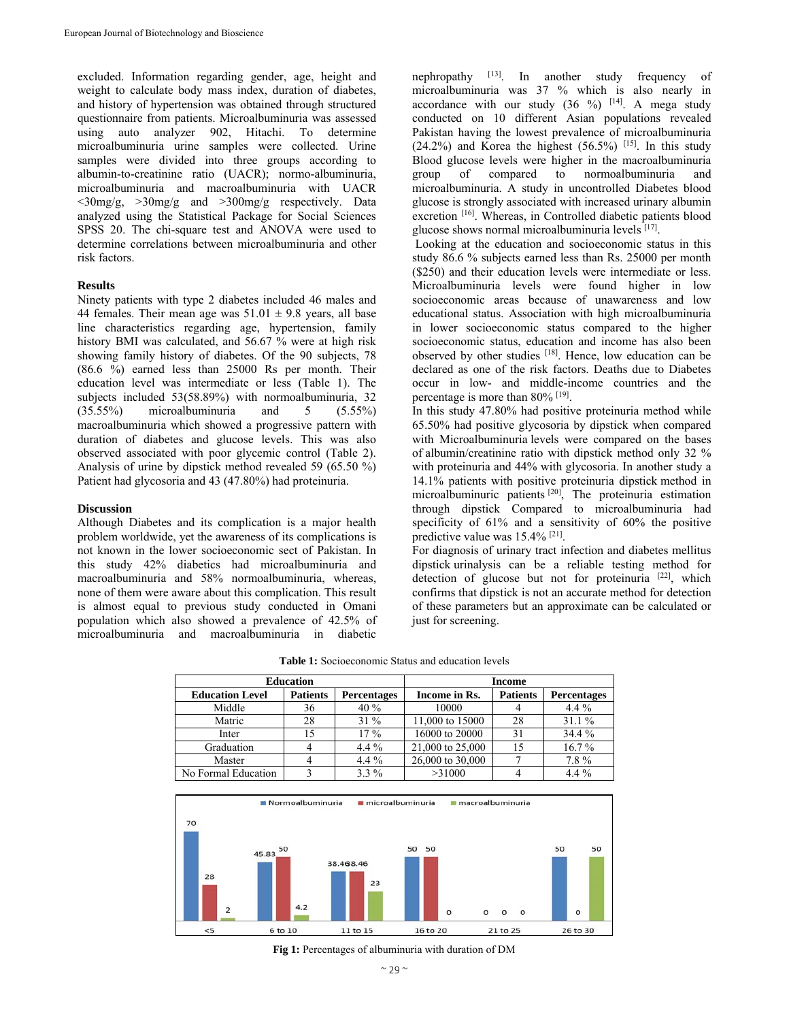excluded. Information regarding gender, age, height and weight to calculate body mass index, duration of diabetes, and history of hypertension was obtained through structured questionnaire from patients. Microalbuminuria was assessed using auto analyzer 902, Hitachi. To determine microalbuminuria urine samples were collected. Urine samples were divided into three groups according to albumin-to-creatinine ratio (UACR); normo-albuminuria, microalbuminuria and macroalbuminuria with UACR <30mg/g, >30mg/g and >300mg/g respectively. Data analyzed using the Statistical Package for Social Sciences SPSS 20. The chi-square test and ANOVA were used to determine correlations between microalbuminuria and other risk factors.

# **Results**

Ninety patients with type 2 diabetes included 46 males and 44 females. Their mean age was  $51.01 \pm 9.8$  years, all base line characteristics regarding age, hypertension, family history BMI was calculated, and 56.67 % were at high risk showing family history of diabetes. Of the 90 subjects, 78 (86.6 %) earned less than 25000 Rs per month. Their education level was intermediate or less (Table 1). The subjects included 53(58.89%) with normoalbuminuria, 32 (35.55%) microalbuminuria and 5 (5.55%) macroalbuminuria which showed a progressive pattern with duration of diabetes and glucose levels. This was also observed associated with poor glycemic control (Table 2). Analysis of urine by dipstick method revealed 59 (65.50 %) Patient had glycosoria and 43 (47.80%) had proteinuria.

## **Discussion**

Although Diabetes and its complication is a major health problem worldwide, yet the awareness of its complications is not known in the lower socioeconomic sect of Pakistan. In this study 42% diabetics had microalbuminuria and macroalbuminuria and 58% normoalbuminuria, whereas, none of them were aware about this complication. This result is almost equal to previous study conducted in Omani population which also showed a prevalence of 42.5% of microalbuminuria and macroalbuminuria in diabetic

nephropathy [13]. In another study frequency of microalbuminuria was 37 % which is also nearly in accordance with our study  $(36 \%)$  [14]. A mega study conducted on 10 different Asian populations revealed Pakistan having the lowest prevalence of microalbuminuria  $(24.2\%)$  and Korea the highest  $(56.5\%)$  [15]. In this study Blood glucose levels were higher in the macroalbuminuria group of compared to normoalbuminuria and microalbuminuria. A study in uncontrolled Diabetes blood glucose is strongly associated with increased urinary albumin excretion [16]. Whereas, in Controlled diabetic patients blood glucose shows normal microalbuminuria levels  $[17]$ .

 Looking at the education and socioeconomic status in this study 86.6 % subjects earned less than Rs. 25000 per month (\$250) and their education levels were intermediate or less. Microalbuminuria levels were found higher in low socioeconomic areas because of unawareness and low educational status. Association with high microalbuminuria in lower socioeconomic status compared to the higher socioeconomic status, education and income has also been observed by other studies <sup>[18]</sup>. Hence, low education can be declared as one of the risk factors. Deaths due to Diabetes occur in low- and middle-income countries and the percentage is more than 80% [19].

In this study 47.80% had positive proteinuria method while 65.50% had positive glycosoria by dipstick when compared with Microalbuminuria levels were compared on the bases of albumin/creatinine ratio with dipstick method only 32 % with proteinuria and 44% with glycosoria. In another study a 14.1% patients with positive proteinuria dipstick method in microalbuminuric patients [20], The proteinuria estimation through dipstick Compared to microalbuminuria had specificity of 61% and a sensitivity of 60% the positive predictive value was 15.4% [21].

For diagnosis of urinary tract infection and diabetes mellitus dipstick urinalysis can be a reliable testing method for detection of glucose but not for proteinuria  $[22]$ , which confirms that dipstick is not an accurate method for detection of these parameters but an approximate can be calculated or just for screening.

**Table 1:** Socioeconomic Status and education levels

| <b>Education</b>       |                 |                    | <b>Income</b>    |                 |                    |
|------------------------|-----------------|--------------------|------------------|-----------------|--------------------|
| <b>Education Level</b> | <b>Patients</b> | <b>Percentages</b> | Income in Rs.    | <b>Patients</b> | <b>Percentages</b> |
| Middle                 | 36              | 40%                | 10000            |                 | $4.4\%$            |
| Matric                 | 28              | $31\%$             | 11,000 to 15000  | 28              | 31.1%              |
| Inter                  | 15              | $17\%$             | 16000 to 20000   | 31              | 34.4 %             |
| Graduation             |                 | $4.4\%$            | 21,000 to 25,000 | 15              | $16.7\%$           |
| Master                 |                 | $4.4\%$            | 26,000 to 30,000 |                 | 7.8%               |
| No Formal Education    |                 | $3.3\%$            | >31000           |                 | $4.4\%$            |



**Fig 1:** Percentages of albuminuria with duration of DM